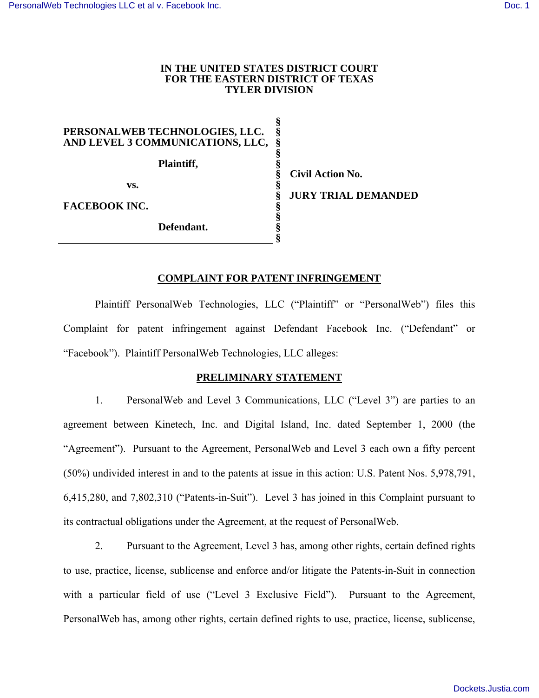### **IN THE UNITED STATES DISTRICT COURT FOR THE EASTERN DISTRICT OF TEXAS TYLER DIVISION**

| PERSONALWEB TECHNOLOGIES, LLC.     |            |                            |
|------------------------------------|------------|----------------------------|
| AND LEVEL 3 COMMUNICATIONS, LLC, § |            |                            |
|                                    |            |                            |
| Plaintiff,                         |            |                            |
|                                    |            | <b>Civil Action No.</b>    |
| VS.                                |            |                            |
|                                    |            | <b>JURY TRIAL DEMANDED</b> |
| <b>FACEBOOK INC.</b>               |            |                            |
|                                    |            |                            |
|                                    | Defendant. |                            |
|                                    |            |                            |

### **COMPLAINT FOR PATENT INFRINGEMENT**

 Plaintiff PersonalWeb Technologies, LLC ("Plaintiff" or "PersonalWeb") files this Complaint for patent infringement against Defendant Facebook Inc. ("Defendant" or "Facebook"). Plaintiff PersonalWeb Technologies, LLC alleges:

## **PRELIMINARY STATEMENT**

1. PersonalWeb and Level 3 Communications, LLC ("Level 3") are parties to an agreement between Kinetech, Inc. and Digital Island, Inc. dated September 1, 2000 (the "Agreement"). Pursuant to the Agreement, PersonalWeb and Level 3 each own a fifty percent (50%) undivided interest in and to the patents at issue in this action: U.S. Patent Nos. 5,978,791, 6,415,280, and 7,802,310 ("Patents-in-Suit"). Level 3 has joined in this Complaint pursuant to its contractual obligations under the Agreement, at the request of PersonalWeb.

2. Pursuant to the Agreement, Level 3 has, among other rights, certain defined rights to use, practice, license, sublicense and enforce and/or litigate the Patents-in-Suit in connection with a particular field of use ("Level 3 Exclusive Field"). Pursuant to the Agreement, PersonalWeb has, among other rights, certain defined rights to use, practice, license, sublicense,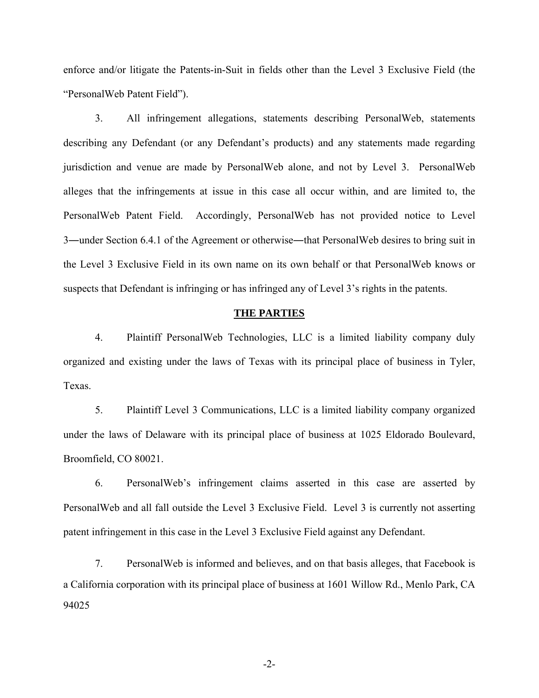enforce and/or litigate the Patents-in-Suit in fields other than the Level 3 Exclusive Field (the "PersonalWeb Patent Field").

3. All infringement allegations, statements describing PersonalWeb, statements describing any Defendant (or any Defendant's products) and any statements made regarding jurisdiction and venue are made by PersonalWeb alone, and not by Level 3. PersonalWeb alleges that the infringements at issue in this case all occur within, and are limited to, the PersonalWeb Patent Field. Accordingly, PersonalWeb has not provided notice to Level 3―under Section 6.4.1 of the Agreement or otherwise―that PersonalWeb desires to bring suit in the Level 3 Exclusive Field in its own name on its own behalf or that PersonalWeb knows or suspects that Defendant is infringing or has infringed any of Level 3's rights in the patents.

### **THE PARTIES**

4. Plaintiff PersonalWeb Technologies, LLC is a limited liability company duly organized and existing under the laws of Texas with its principal place of business in Tyler, Texas.

5. Plaintiff Level 3 Communications, LLC is a limited liability company organized under the laws of Delaware with its principal place of business at 1025 Eldorado Boulevard, Broomfield, CO 80021.

6. PersonalWeb's infringement claims asserted in this case are asserted by PersonalWeb and all fall outside the Level 3 Exclusive Field. Level 3 is currently not asserting patent infringement in this case in the Level 3 Exclusive Field against any Defendant.

7. PersonalWeb is informed and believes, and on that basis alleges, that Facebook is a California corporation with its principal place of business at 1601 Willow Rd., Menlo Park, CA 94025

-2-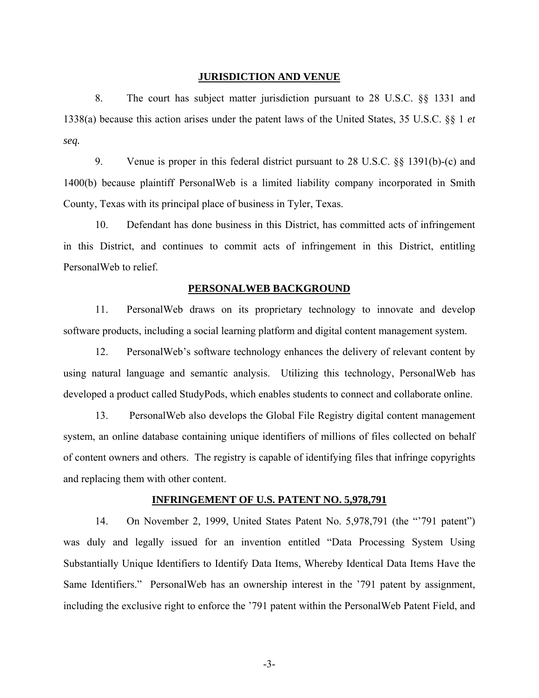### **JURISDICTION AND VENUE**

8. The court has subject matter jurisdiction pursuant to 28 U.S.C. §§ 1331 and 1338(a) because this action arises under the patent laws of the United States, 35 U.S.C. §§ 1 *et seq.*

9. Venue is proper in this federal district pursuant to 28 U.S.C. §§ 1391(b)-(c) and 1400(b) because plaintiff PersonalWeb is a limited liability company incorporated in Smith County, Texas with its principal place of business in Tyler, Texas.

10. Defendant has done business in this District, has committed acts of infringement in this District, and continues to commit acts of infringement in this District, entitling PersonalWeb to relief.

#### **PERSONALWEB BACKGROUND**

11. PersonalWeb draws on its proprietary technology to innovate and develop software products, including a social learning platform and digital content management system.

12. PersonalWeb's software technology enhances the delivery of relevant content by using natural language and semantic analysis. Utilizing this technology, PersonalWeb has developed a product called StudyPods, which enables students to connect and collaborate online.

13. PersonalWeb also develops the Global File Registry digital content management system, an online database containing unique identifiers of millions of files collected on behalf of content owners and others. The registry is capable of identifying files that infringe copyrights and replacing them with other content.

## **INFRINGEMENT OF U.S. PATENT NO. 5,978,791**

14. On November 2, 1999, United States Patent No. 5,978,791 (the "'791 patent") was duly and legally issued for an invention entitled "Data Processing System Using Substantially Unique Identifiers to Identify Data Items, Whereby Identical Data Items Have the Same Identifiers." PersonalWeb has an ownership interest in the '791 patent by assignment, including the exclusive right to enforce the '791 patent within the PersonalWeb Patent Field, and

-3-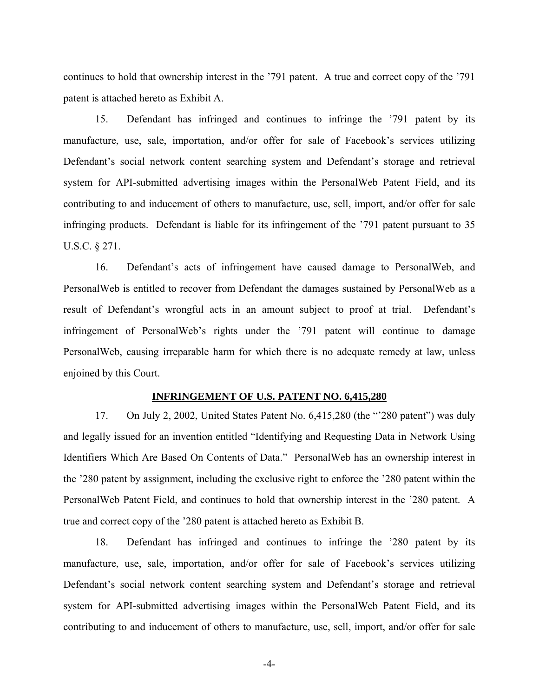continues to hold that ownership interest in the '791 patent. A true and correct copy of the '791 patent is attached hereto as Exhibit A.

15. Defendant has infringed and continues to infringe the '791 patent by its manufacture, use, sale, importation, and/or offer for sale of Facebook's services utilizing Defendant's social network content searching system and Defendant's storage and retrieval system for API-submitted advertising images within the PersonalWeb Patent Field, and its contributing to and inducement of others to manufacture, use, sell, import, and/or offer for sale infringing products. Defendant is liable for its infringement of the '791 patent pursuant to 35 U.S.C. § 271.

16. Defendant's acts of infringement have caused damage to PersonalWeb, and PersonalWeb is entitled to recover from Defendant the damages sustained by PersonalWeb as a result of Defendant's wrongful acts in an amount subject to proof at trial. Defendant's infringement of PersonalWeb's rights under the '791 patent will continue to damage PersonalWeb, causing irreparable harm for which there is no adequate remedy at law, unless enjoined by this Court.

### **INFRINGEMENT OF U.S. PATENT NO. 6,415,280**

17. On July 2, 2002, United States Patent No. 6,415,280 (the "'280 patent") was duly and legally issued for an invention entitled "Identifying and Requesting Data in Network Using Identifiers Which Are Based On Contents of Data." PersonalWeb has an ownership interest in the '280 patent by assignment, including the exclusive right to enforce the '280 patent within the PersonalWeb Patent Field, and continues to hold that ownership interest in the '280 patent. A true and correct copy of the '280 patent is attached hereto as Exhibit B.

18. Defendant has infringed and continues to infringe the '280 patent by its manufacture, use, sale, importation, and/or offer for sale of Facebook's services utilizing Defendant's social network content searching system and Defendant's storage and retrieval system for API-submitted advertising images within the PersonalWeb Patent Field, and its contributing to and inducement of others to manufacture, use, sell, import, and/or offer for sale

-4-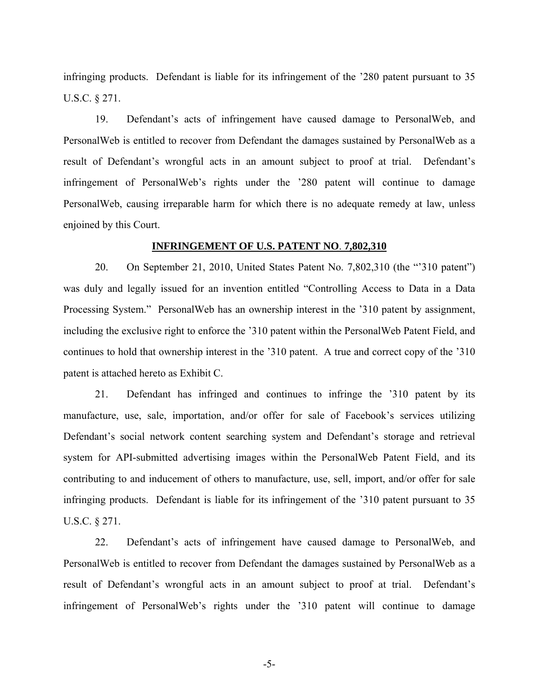infringing products. Defendant is liable for its infringement of the '280 patent pursuant to 35 U.S.C. § 271.

19. Defendant's acts of infringement have caused damage to PersonalWeb, and PersonalWeb is entitled to recover from Defendant the damages sustained by PersonalWeb as a result of Defendant's wrongful acts in an amount subject to proof at trial. Defendant's infringement of PersonalWeb's rights under the '280 patent will continue to damage PersonalWeb, causing irreparable harm for which there is no adequate remedy at law, unless enjoined by this Court.

### **INFRINGEMENT OF U.S. PATENT NO**. **7,802,310**

20. On September 21, 2010, United States Patent No. 7,802,310 (the "'310 patent") was duly and legally issued for an invention entitled "Controlling Access to Data in a Data Processing System." PersonalWeb has an ownership interest in the '310 patent by assignment, including the exclusive right to enforce the '310 patent within the PersonalWeb Patent Field, and continues to hold that ownership interest in the '310 patent. A true and correct copy of the '310 patent is attached hereto as Exhibit C.

21. Defendant has infringed and continues to infringe the '310 patent by its manufacture, use, sale, importation, and/or offer for sale of Facebook's services utilizing Defendant's social network content searching system and Defendant's storage and retrieval system for API-submitted advertising images within the PersonalWeb Patent Field, and its contributing to and inducement of others to manufacture, use, sell, import, and/or offer for sale infringing products. Defendant is liable for its infringement of the '310 patent pursuant to 35 U.S.C. § 271.

22. Defendant's acts of infringement have caused damage to PersonalWeb, and PersonalWeb is entitled to recover from Defendant the damages sustained by PersonalWeb as a result of Defendant's wrongful acts in an amount subject to proof at trial. Defendant's infringement of PersonalWeb's rights under the '310 patent will continue to damage

-5-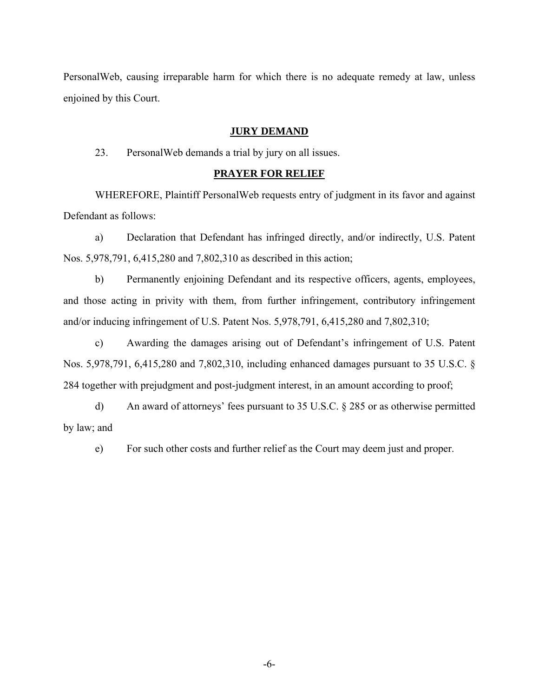PersonalWeb, causing irreparable harm for which there is no adequate remedy at law, unless enjoined by this Court.

## **JURY DEMAND**

23. PersonalWeb demands a trial by jury on all issues.

# **PRAYER FOR RELIEF**

 WHEREFORE, Plaintiff PersonalWeb requests entry of judgment in its favor and against Defendant as follows:

a) Declaration that Defendant has infringed directly, and/or indirectly, U.S. Patent Nos. 5,978,791, 6,415,280 and 7,802,310 as described in this action;

b) Permanently enjoining Defendant and its respective officers, agents, employees, and those acting in privity with them, from further infringement, contributory infringement and/or inducing infringement of U.S. Patent Nos. 5,978,791, 6,415,280 and 7,802,310;

c) Awarding the damages arising out of Defendant's infringement of U.S. Patent Nos. 5,978,791, 6,415,280 and 7,802,310, including enhanced damages pursuant to 35 U.S.C. § 284 together with prejudgment and post-judgment interest, in an amount according to proof;

d) An award of attorneys' fees pursuant to 35 U.S.C. § 285 or as otherwise permitted by law; and

e) For such other costs and further relief as the Court may deem just and proper.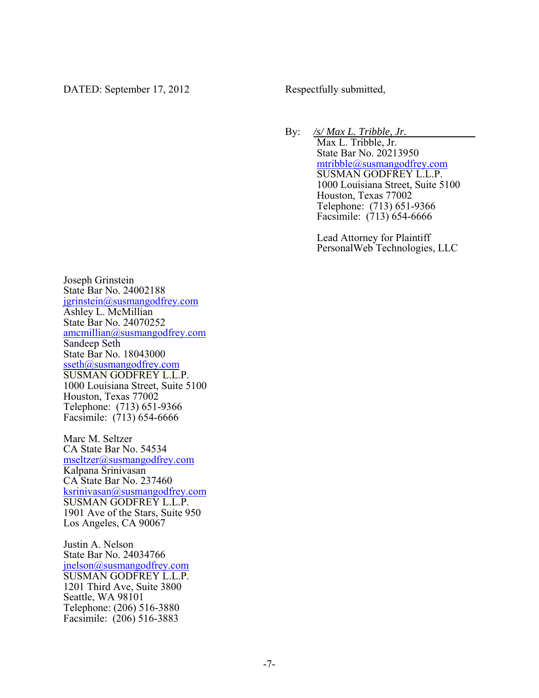DATED: September 17, 2012 Respectfully submitted,

 By: */s/ Max L. Tribble, Jr.*  Max L. Tribble, Jr. State Bar No. 20213950 mtribble@susmangodfrey.com SUSMAN GODFREY L.L.P. 1000 Louisiana Street, Suite 5100 Houston, Texas 77002 Telephone: (713) 651-9366 Facsimile: (713) 654-6666

> Lead Attorney for Plaintiff PersonalWeb Technologies, LLC

Joseph Grinstein State Bar No. 24002188  $j$ grinstein@susmangodfrey.com Ashley L. McMillian State Bar No. 24070252 amcmillian@susmangodfrey.com Sandeep Seth State Bar No. 18043000 sseth@susmangodfrey.com SUSMAN GODFREY L.L.P. 1000 Louisiana Street, Suite 5100 Houston, Texas 77002 Telephone: (713) 651-9366 Facsimile: (713) 654-6666

Marc M. Seltzer CA State Bar No. 54534 mseltzer@susmangodfrey.com Kalpana Srinivasan CA State Bar No. 237460  $ksrinivasan@susmangodfrey.com$ SUSMAN GODFREY L.L.P. 1901 Ave of the Stars, Suite 950 Los Angeles, CA 90067

Justin A. Nelson State Bar No. 24034766 jnelson@susmangodfrey.com SUSMAN GODFREY L.L.P. 1201 Third Ave, Suite 3800 Seattle, WA 98101 Telephone: (206) 516-3880 Facsimile: (206) 516-3883